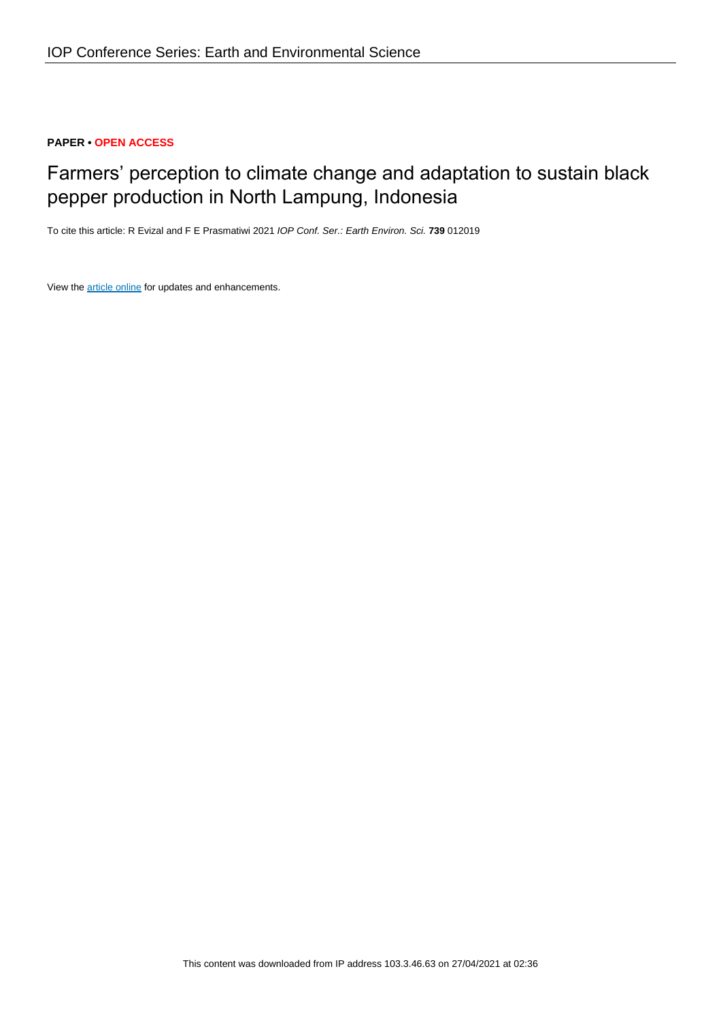# **PAPER • OPEN ACCESS**

# Farmers' perception to climate change and adaptation to sustain black pepper production in North Lampung, Indonesia

To cite this article: R Evizal and F E Prasmatiwi 2021 IOP Conf. Ser.: Earth Environ. Sci. **739** 012019

View the [article online](https://doi.org/10.1088/1755-1315/739/1/012019) for updates and enhancements.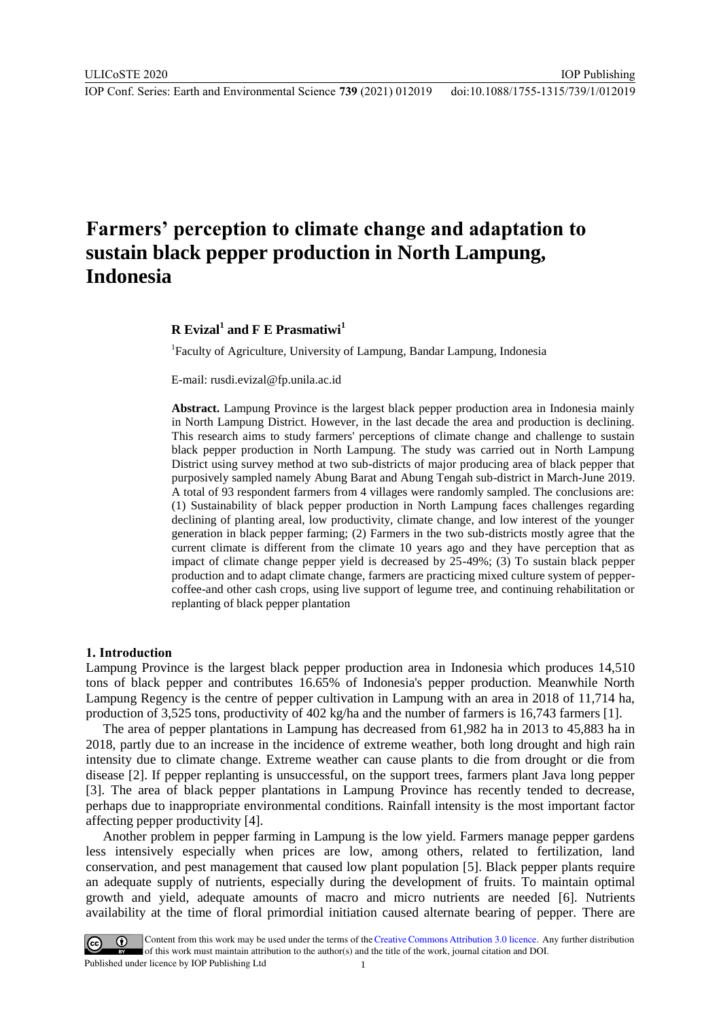IOP Publishing

# **Farmers' perception to climate change and adaptation to sustain black pepper production in North Lampung, Indonesia**

# **R Evizal<sup>1</sup> and F E Prasmatiwi<sup>1</sup>**

<sup>1</sup>Faculty of Agriculture, University of Lampung, Bandar Lampung, Indonesia

E-mail: rusdi.evizal@fp.unila.ac.id

**Abstract.** Lampung Province is the largest black pepper production area in Indonesia mainly in North Lampung District. However, in the last decade the area and production is declining. This research aims to study farmers' perceptions of climate change and challenge to sustain black pepper production in North Lampung. The study was carried out in North Lampung District using survey method at two sub-districts of major producing area of black pepper that purposively sampled namely Abung Barat and Abung Tengah sub-district in March-June 2019. A total of 93 respondent farmers from 4 villages were randomly sampled. The conclusions are: (1) Sustainability of black pepper production in North Lampung faces challenges regarding declining of planting areal, low productivity, climate change, and low interest of the younger generation in black pepper farming; (2) Farmers in the two sub-districts mostly agree that the current climate is different from the climate 10 years ago and they have perception that as impact of climate change pepper yield is decreased by 25-49%; (3) To sustain black pepper production and to adapt climate change, farmers are practicing mixed culture system of peppercoffee-and other cash crops, using live support of legume tree, and continuing rehabilitation or replanting of black pepper plantation

#### **1. Introduction**

Lampung Province is the largest black pepper production area in Indonesia which produces 14,510 tons of black pepper and contributes 16.65% of Indonesia's pepper production. Meanwhile North Lampung Regency is the centre of pepper cultivation in Lampung with an area in 2018 of 11,714 ha, production of 3,525 tons, productivity of 402 kg/ha and the number of farmers is 16,743 farmers [1].

The area of pepper plantations in Lampung has decreased from 61,982 ha in 2013 to 45,883 ha in 2018, partly due to an increase in the incidence of extreme weather, both long drought and high rain intensity due to climate change. Extreme weather can cause plants to die from drought or die from disease [2]. If pepper replanting is unsuccessful, on the support trees, farmers plant Java long pepper [3]. The area of black pepper plantations in Lampung Province has recently tended to decrease, perhaps due to inappropriate environmental conditions. Rainfall intensity is the most important factor affecting pepper productivity [4].

Another problem in pepper farming in Lampung is the low yield. Farmers manage pepper gardens less intensively especially when prices are low, among others, related to fertilization, land conservation, and pest management that caused low plant population [5]. Black pepper plants require an adequate supply of nutrients, especially during the development of fruits. To maintain optimal growth and yield, adequate amounts of macro and micro nutrients are needed [6]. Nutrients availability at the time of floral primordial initiation caused alternate bearing of pepper. There are

Content from this work may be used under the terms of the Creative Commons Attribution 3.0 licence. Any further distribution of this work must maintain attribution to the author(s) and the title of the work, journal citation and DOI. Published under licence by IOP Publishing Ltd 1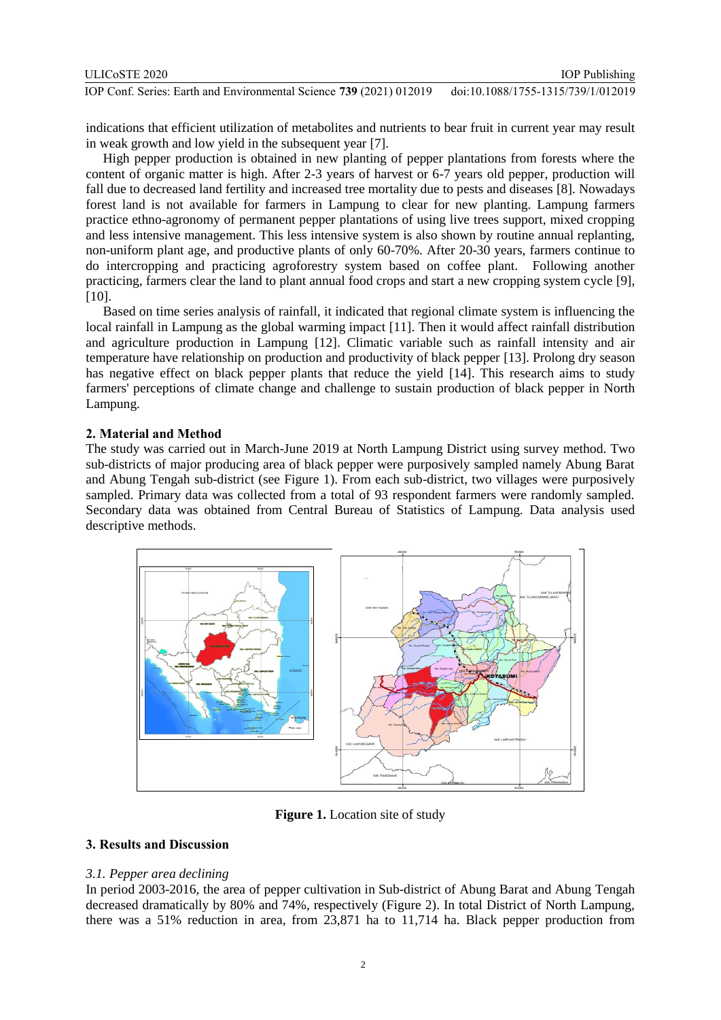| ULICoSTE 2020                                                       | <b>IOP</b> Publishing              |
|---------------------------------------------------------------------|------------------------------------|
| IOP Conf. Series: Earth and Environmental Science 739 (2021) 012019 | doi:10.1088/1755-1315/739/1/012019 |

indications that efficient utilization of metabolites and nutrients to bear fruit in current year may result in weak growth and low yield in the subsequent year [7].

High pepper production is obtained in new planting of pepper plantations from forests where the content of organic matter is high. After 2-3 years of harvest or 6-7 years old pepper, production will fall due to decreased land fertility and increased tree mortality due to pests and diseases [8]. Nowadays forest land is not available for farmers in Lampung to clear for new planting. Lampung farmers practice ethno-agronomy of permanent pepper plantations of using live trees support, mixed cropping and less intensive management. This less intensive system is also shown by routine annual replanting, non-uniform plant age, and productive plants of only 60-70%. After 20-30 years, farmers continue to do intercropping and practicing agroforestry system based on coffee plant. Following another practicing, farmers clear the land to plant annual food crops and start a new cropping system cycle [9], [10].

Based on time series analysis of rainfall, it indicated that regional climate system is influencing the local rainfall in Lampung as the global warming impact [11]. Then it would affect rainfall distribution and agriculture production in Lampung [12]. Climatic variable such as rainfall intensity and air temperature have relationship on production and productivity of black pepper [13]. Prolong dry season has negative effect on black pepper plants that reduce the yield [14]. This research aims to study farmers' perceptions of climate change and challenge to sustain production of black pepper in North Lampung.

## **2. Material and Method**

The study was carried out in March-June 2019 at North Lampung District using survey method. Two sub-districts of major producing area of black pepper were purposively sampled namely Abung Barat and Abung Tengah sub-district (see Figure 1). From each sub-district, two villages were purposively sampled. Primary data was collected from a total of 93 respondent farmers were randomly sampled. Secondary data was obtained from Central Bureau of Statistics of Lampung. Data analysis used descriptive methods.



**Figure 1.** Location site of study

# **3. Results and Discussion**

## *3.1. Pepper area declining*

In period 2003-2016, the area of pepper cultivation in Sub-district of Abung Barat and Abung Tengah decreased dramatically by 80% and 74%, respectively (Figure 2). In total District of North Lampung, there was a 51% reduction in area, from 23,871 ha to 11,714 ha. Black pepper production from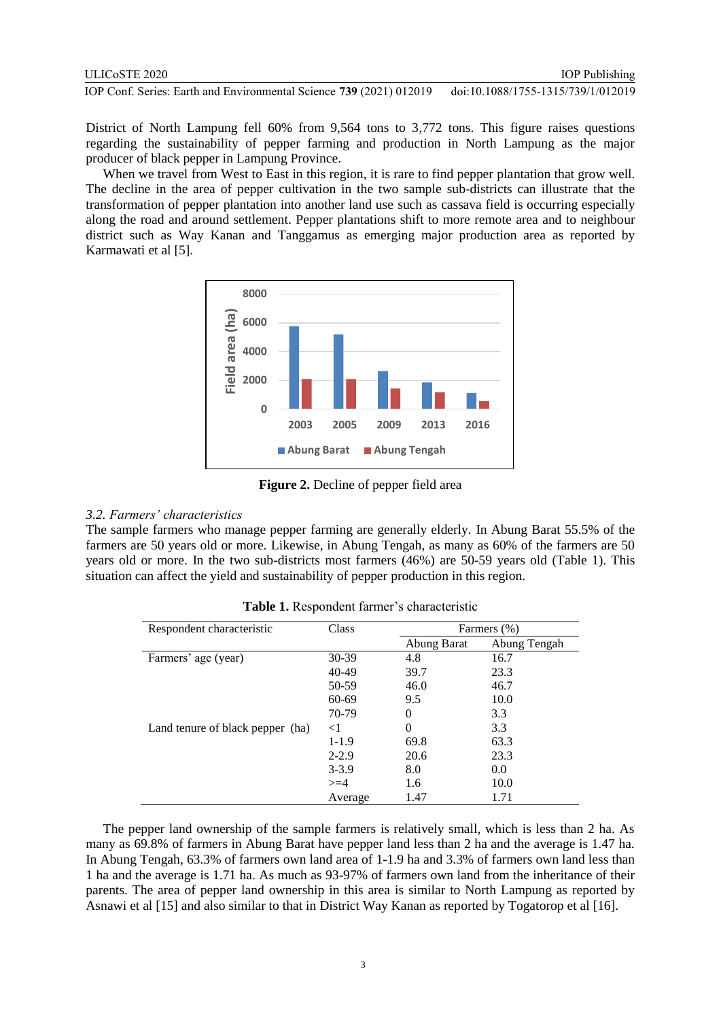District of North Lampung fell 60% from 9,564 tons to 3,772 tons. This figure raises questions regarding the sustainability of pepper farming and production in North Lampung as the major producer of black pepper in Lampung Province.

When we travel from West to East in this region, it is rare to find pepper plantation that grow well. The decline in the area of pepper cultivation in the two sample sub-districts can illustrate that the transformation of pepper plantation into another land use such as cassava field is occurring especially along the road and around settlement. Pepper plantations shift to more remote area and to neighbour district such as Way Kanan and Tanggamus as emerging major production area as reported by Karmawati et al [5].



**Figure 2.** Decline of pepper field area

#### *3.2. Farmers' characteristics*

The sample farmers who manage pepper farming are generally elderly. In Abung Barat 55.5% of the farmers are 50 years old or more. Likewise, in Abung Tengah, as many as 60% of the farmers are 50 years old or more. In the two sub-districts most farmers (46%) are 50-59 years old (Table 1). This situation can affect the yield and sustainability of pepper production in this region.

| Respondent characteristic        | Class     | Farmers (%) |              |
|----------------------------------|-----------|-------------|--------------|
|                                  |           | Abung Barat | Abung Tengah |
| Farmers' age (year)              | $30-39$   | 4.8         | 16.7         |
|                                  | $40-49$   | 39.7        | 23.3         |
|                                  | 50-59     | 46.0        | 46.7         |
|                                  | 60-69     | 9.5         | 10.0         |
|                                  | 70-79     | 0           | 3.3          |
| Land tenure of black pepper (ha) | $<$ 1     | 0           | 3.3          |
|                                  | $1-1.9$   | 69.8        | 63.3         |
|                                  | $2 - 2.9$ | 20.6        | 23.3         |
|                                  | $3 - 3.9$ | 8.0         | 0.0          |
|                                  | $>=$ 4    | 1.6         | 10.0         |
|                                  | Average   | 1.47        | 1.71         |

**Table 1.** Respondent farmer's characteristic

The pepper land ownership of the sample farmers is relatively small, which is less than 2 ha. As many as 69.8% of farmers in Abung Barat have pepper land less than 2 ha and the average is 1.47 ha. In Abung Tengah, 63.3% of farmers own land area of 1-1.9 ha and 3.3% of farmers own land less than 1 ha and the average is 1.71 ha. As much as 93-97% of farmers own land from the inheritance of their parents. The area of pepper land ownership in this area is similar to North Lampung as reported by Asnawi et al [15] and also similar to that in District Way Kanan as reported by Togatorop et al [16].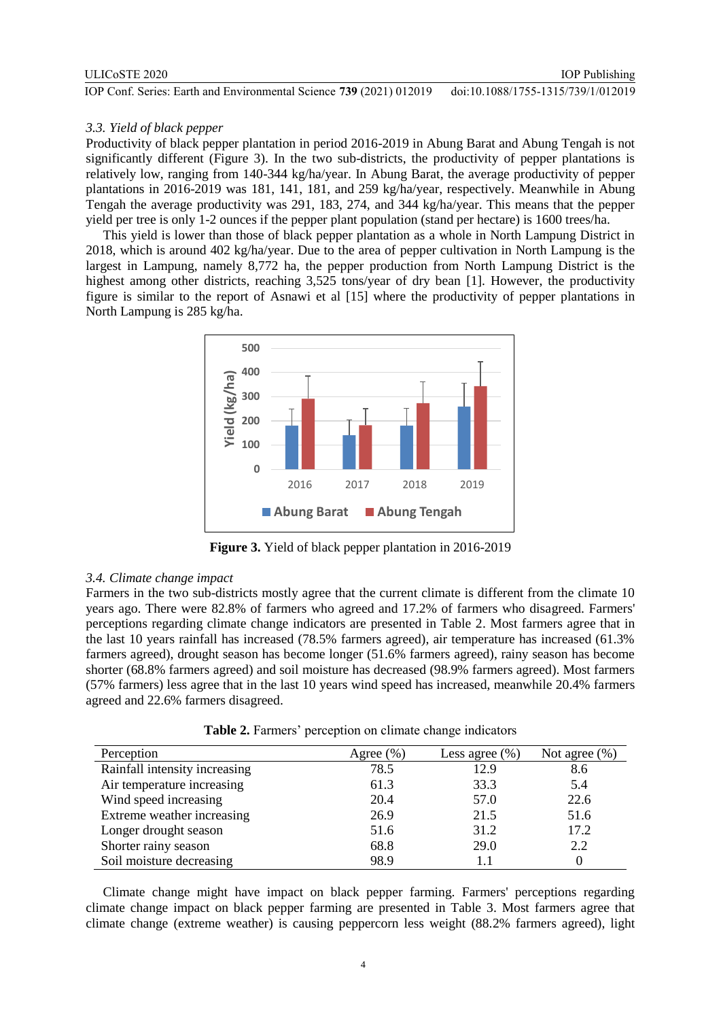#### ULICoSTE 2020

IOP Conf. Series: Earth and Environmental Science **739** (2021) 012019 doi:10.1088/1755-1315/739/1/012019

### *3.3. Yield of black pepper*

Productivity of black pepper plantation in period 2016-2019 in Abung Barat and Abung Tengah is not significantly different (Figure 3). In the two sub-districts, the productivity of pepper plantations is relatively low, ranging from 140-344 kg/ha/year. In Abung Barat, the average productivity of pepper plantations in 2016-2019 was 181, 141, 181, and 259 kg/ha/year, respectively. Meanwhile in Abung Tengah the average productivity was 291, 183, 274, and 344 kg/ha/year. This means that the pepper yield per tree is only 1-2 ounces if the pepper plant population (stand per hectare) is 1600 trees/ha.

This yield is lower than those of black pepper plantation as a whole in North Lampung District in 2018, which is around 402 kg/ha/year. Due to the area of pepper cultivation in North Lampung is the largest in Lampung, namely 8,772 ha, the pepper production from North Lampung District is the highest among other districts, reaching 3,525 tons/year of dry bean [1]. However, the productivity figure is similar to the report of Asnawi et al [15] where the productivity of pepper plantations in North Lampung is 285 kg/ha.



**Figure 3.** Yield of black pepper plantation in 2016-2019

#### *3.4. Climate change impact*

Farmers in the two sub-districts mostly agree that the current climate is different from the climate 10 years ago. There were 82.8% of farmers who agreed and 17.2% of farmers who disagreed. Farmers' perceptions regarding climate change indicators are presented in Table 2. Most farmers agree that in the last 10 years rainfall has increased (78.5% farmers agreed), air temperature has increased (61.3% farmers agreed), drought season has become longer (51.6% farmers agreed), rainy season has become shorter (68.8% farmers agreed) and soil moisture has decreased (98.9% farmers agreed). Most farmers (57% farmers) less agree that in the last 10 years wind speed has increased, meanwhile 20.4% farmers agreed and 22.6% farmers disagreed.

**Table 2.** Farmers' perception on climate change indicators

| Perception                    | Agree $(\%)$ | Less agree $(\% )$ | Not agree $(\% )$ |
|-------------------------------|--------------|--------------------|-------------------|
| Rainfall intensity increasing | 78.5         | 12.9               | 8.6               |
| Air temperature increasing    | 61.3         | 33.3               | 5.4               |
| Wind speed increasing         | 20.4         | 57.0               | 22.6              |
| Extreme weather increasing    | 26.9         | 21.5               | 51.6              |
| Longer drought season         | 51.6         | 31.2               | 17.2              |
| Shorter rainy season          | 68.8         | 29.0               | 2.2               |
| Soil moisture decreasing      | 98.9         |                    |                   |

Climate change might have impact on black pepper farming. Farmers' perceptions regarding climate change impact on black pepper farming are presented in Table 3. Most farmers agree that climate change (extreme weather) is causing peppercorn less weight (88.2% farmers agreed), light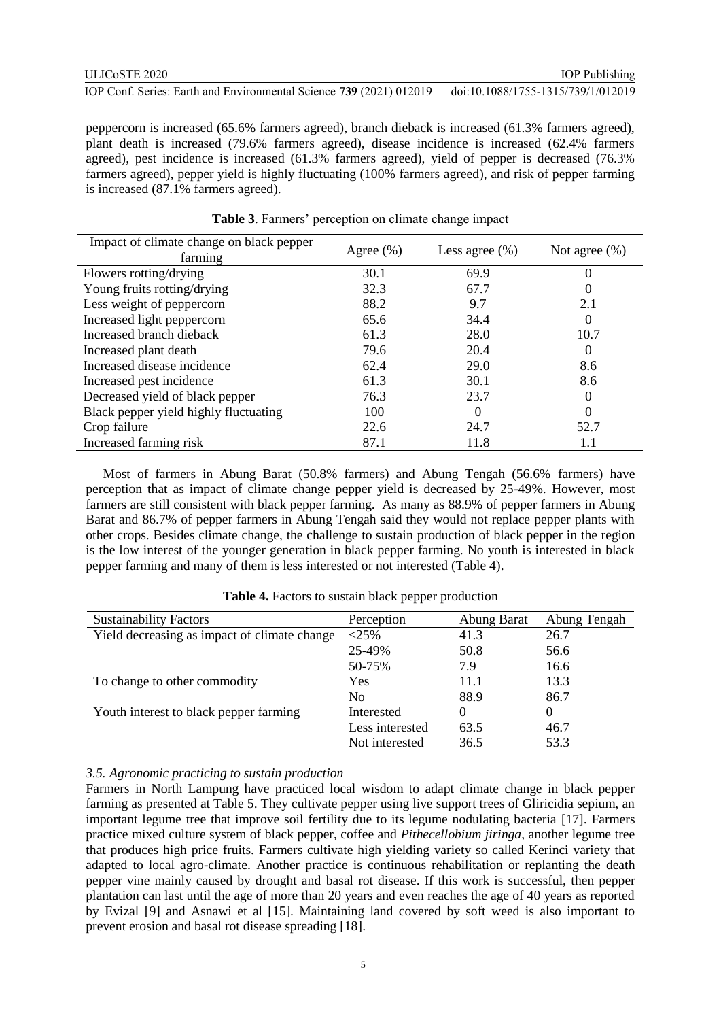peppercorn is increased (65.6% farmers agreed), branch dieback is increased (61.3% farmers agreed), plant death is increased (79.6% farmers agreed), disease incidence is increased (62.4% farmers agreed), pest incidence is increased (61.3% farmers agreed), yield of pepper is decreased (76.3% farmers agreed), pepper yield is highly fluctuating (100% farmers agreed), and risk of pepper farming is increased (87.1% farmers agreed).

| Impact of climate change on black pepper | Agree $(\% )$ | Less agree $(\% )$ | Not agree $(\% )$ |  |
|------------------------------------------|---------------|--------------------|-------------------|--|
| farming                                  |               |                    |                   |  |
| Flowers rotting/drying                   | 30.1          | 69.9               | 0                 |  |
| Young fruits rotting/drying              | 32.3          | 67.7               | $\theta$          |  |
| Less weight of peppercorn                | 88.2          | 9.7                | 2.1               |  |
| Increased light peppercorn               | 65.6          | 34.4               | $\Omega$          |  |
| Increased branch dieback                 | 61.3          | 28.0               | 10.7              |  |
| Increased plant death                    | 79.6          | 20.4               | $\theta$          |  |
| Increased disease incidence              | 62.4          | 29.0               | 8.6               |  |
| Increased pest incidence                 | 61.3          | 30.1               | 8.6               |  |
| Decreased yield of black pepper          | 76.3          | 23.7               | $\Omega$          |  |
| Black pepper yield highly fluctuating    | 100           | 0                  | $\Omega$          |  |
| Crop failure                             | 22.6          | 24.7               | 52.7              |  |
| Increased farming risk                   | 87.1          | 11.8               | 1.1               |  |

| Table 3. Farmers' perception on climate change impact |  |  |  |  |
|-------------------------------------------------------|--|--|--|--|
|-------------------------------------------------------|--|--|--|--|

Most of farmers in Abung Barat (50.8% farmers) and Abung Tengah (56.6% farmers) have perception that as impact of climate change pepper yield is decreased by 25-49%. However, most farmers are still consistent with black pepper farming. As many as 88.9% of pepper farmers in Abung Barat and 86.7% of pepper farmers in Abung Tengah said they would not replace pepper plants with other crops. Besides climate change, the challenge to sustain production of black pepper in the region is the low interest of the younger generation in black pepper farming. No youth is interested in black pepper farming and many of them is less interested or not interested (Table 4).

| <b>Sustainability Factors</b>                | Perception      | Abung Barat | Abung Tengah |
|----------------------------------------------|-----------------|-------------|--------------|
| Yield decreasing as impact of climate change | $<$ 25%         | 41.3        | 26.7         |
|                                              | 25-49%          | 50.8        | 56.6         |
|                                              | 50-75%          | 7.9         | 16.6         |
| To change to other commodity                 | Yes             | 11.1        | 13.3         |
|                                              | N <sub>0</sub>  | 88.9        | 86.7         |
| Youth interest to black pepper farming       | Interested      | $\Omega$    | 0            |
|                                              | Less interested | 63.5        | 46.7         |
|                                              | Not interested  | 36.5        | 53.3         |

**Table 4.** Factors to sustain black pepper production

#### *3.5. Agronomic practicing to sustain production*

Farmers in North Lampung have practiced local wisdom to adapt climate change in black pepper farming as presented at Table 5. They cultivate pepper using live support trees of Gliricidia sepium, an important legume tree that improve soil fertility due to its legume nodulating bacteria [17]. Farmers practice mixed culture system of black pepper, coffee and *Pithecellobium jiringa*, another legume tree that produces high price fruits. Farmers cultivate high yielding variety so called Kerinci variety that adapted to local agro-climate. Another practice is continuous rehabilitation or replanting the death pepper vine mainly caused by drought and basal rot disease. If this work is successful, then pepper plantation can last until the age of more than 20 years and even reaches the age of 40 years as reported by Evizal [9] and Asnawi et al [15]. Maintaining land covered by soft weed is also important to prevent erosion and basal rot disease spreading [18].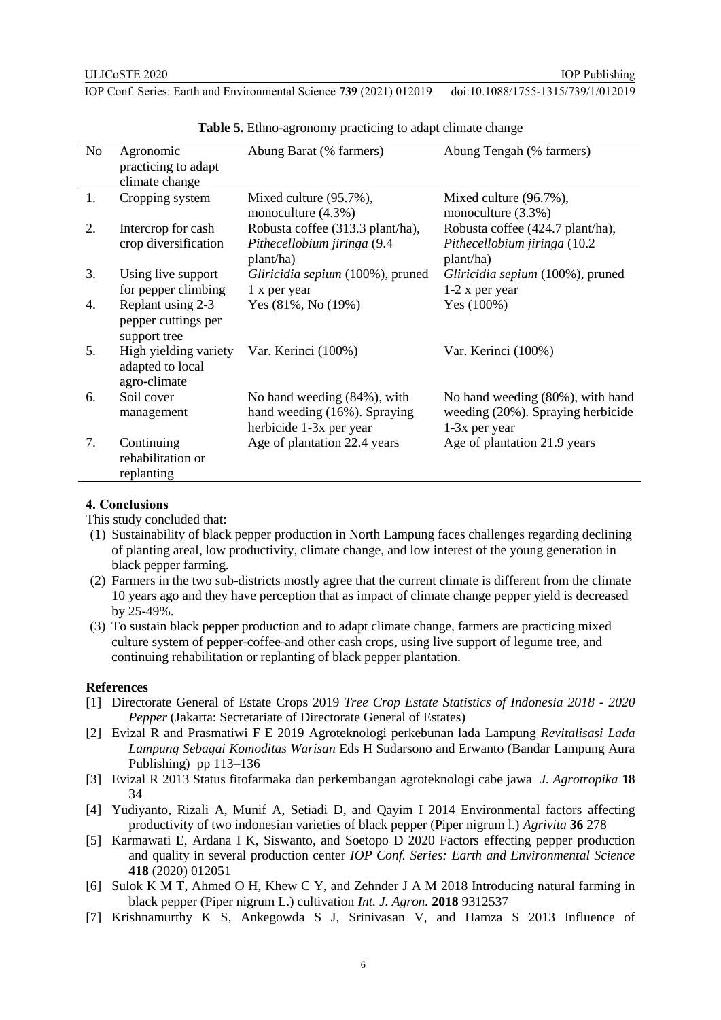| N <sub>o</sub> | Agronomic             | Abung Barat (% farmers)          | Abung Tengah (% farmers)          |
|----------------|-----------------------|----------------------------------|-----------------------------------|
|                | practicing to adapt   |                                  |                                   |
|                | climate change        |                                  |                                   |
| 1.             | Cropping system       | Mixed culture (95.7%),           | Mixed culture (96.7%),            |
|                |                       | monoculture (4.3%)               | monoculture (3.3%)                |
| 2.             | Intercrop for cash    | Robusta coffee (313.3 plant/ha), | Robusta coffee (424.7 plant/ha),  |
|                | crop diversification  | Pithecellobium jiringa (9.4      | Pithecellobium jiringa (10.2)     |
|                |                       | plant/ha)                        | plant/ha)                         |
| 3.             | Using live support    | Gliricidia sepium (100%), pruned | Gliricidia sepium (100%), pruned  |
|                | for pepper climbing   | 1 x per year                     | $1-2$ x per year                  |
| 4.             | Replant using 2-3     | Yes $(81\%, \text{No } (19\%)$   | Yes (100%)                        |
|                | pepper cuttings per   |                                  |                                   |
|                | support tree          |                                  |                                   |
| 5.             | High yielding variety | Var. Kerinci (100%)              | Var. Kerinci (100%)               |
|                | adapted to local      |                                  |                                   |
|                | agro-climate          |                                  |                                   |
| 6.             | Soil cover            | No hand weeding (84%), with      | No hand weeding (80%), with hand  |
|                | management            | hand weeding (16%). Spraying     | weeding (20%). Spraying herbicide |
|                |                       | herbicide 1-3x per year          | $1-3x$ per year                   |
| 7.             | Continuing            | Age of plantation 22.4 years     | Age of plantation 21.9 years      |
|                | rehabilitation or     |                                  |                                   |
|                | replanting            |                                  |                                   |

**Table 5.** Ethno-agronomy practicing to adapt climate change

### **4. Conclusions**

This study concluded that:

- (1) Sustainability of black pepper production in North Lampung faces challenges regarding declining of planting areal, low productivity, climate change, and low interest of the young generation in black pepper farming.
- (2) Farmers in the two sub-districts mostly agree that the current climate is different from the climate 10 years ago and they have perception that as impact of climate change pepper yield is decreased by 25-49%.
- (3) To sustain black pepper production and to adapt climate change, farmers are practicing mixed culture system of pepper-coffee-and other cash crops, using live support of legume tree, and continuing rehabilitation or replanting of black pepper plantation.

#### **References**

- [1] Directorate General of Estate Crops 2019 *Tree Crop Estate Statistics of Indonesia 2018 - 2020 Pepper* (Jakarta: Secretariate of Directorate General of Estates)
- [2] Evizal R and Prasmatiwi F E 2019 Agroteknologi perkebunan lada Lampung *Revitalisasi Lada Lampung Sebagai Komoditas Warisan* Eds H Sudarsono and Erwanto (Bandar Lampung Aura Publishing) pp 113–136
- [3] Evizal R 2013 Status fitofarmaka dan perkembangan agroteknologi cabe jawa *J. Agrotropika* **18** 34
- [4] Yudiyanto, Rizali A, Munif A, Setiadi D, and Qayim I 2014 Environmental factors affecting productivity of two indonesian varieties of black pepper (Piper nigrum l.) *Agrivita* **36** 278
- [5] Karmawati E, Ardana I K, Siswanto, and Soetopo D 2020 Factors effecting pepper production and quality in several production center *IOP Conf. Series: Earth and Environmental Science* **418** (2020) 012051
- [6] Sulok K M T, Ahmed O H, Khew C Y, and Zehnder J A M 2018 Introducing natural farming in black pepper (Piper nigrum L.) cultivation *Int. J. Agron.* **2018** 9312537
- [7] Krishnamurthy K S, Ankegowda S J, Srinivasan V, and Hamza S 2013 Influence of